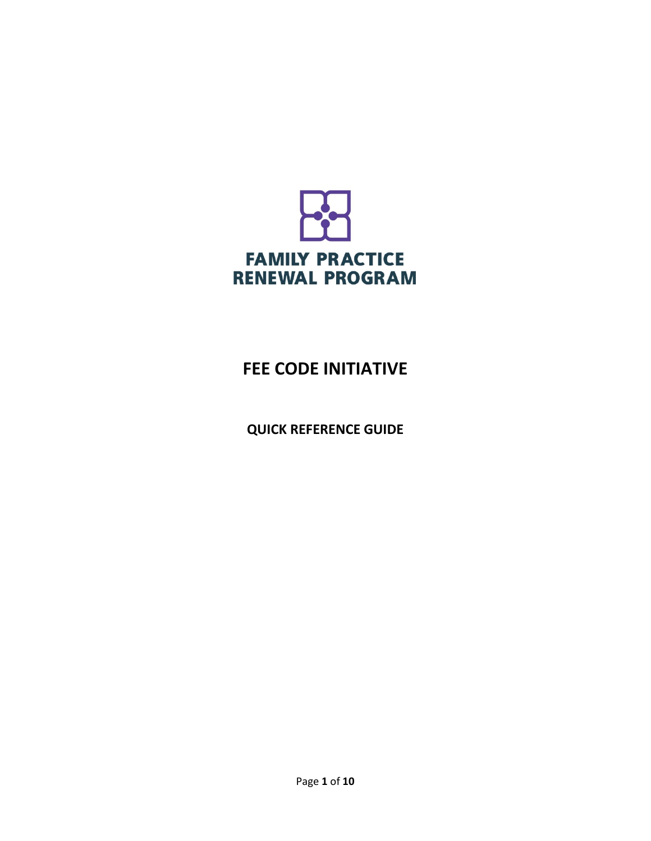

# **FEE CODE INITIATIVE**

**QUICK REFERENCE GUIDE**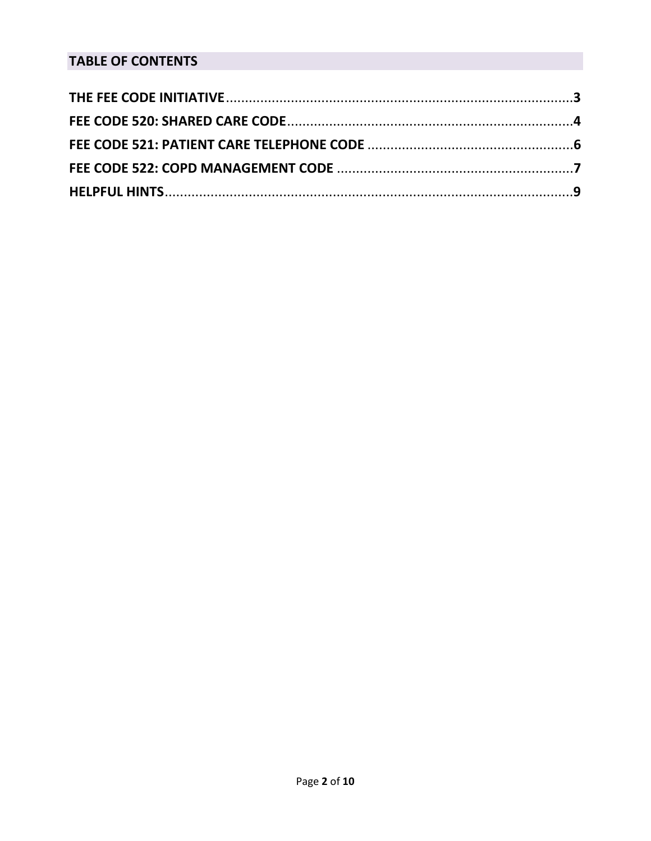## **TABLE OF CONTENTS**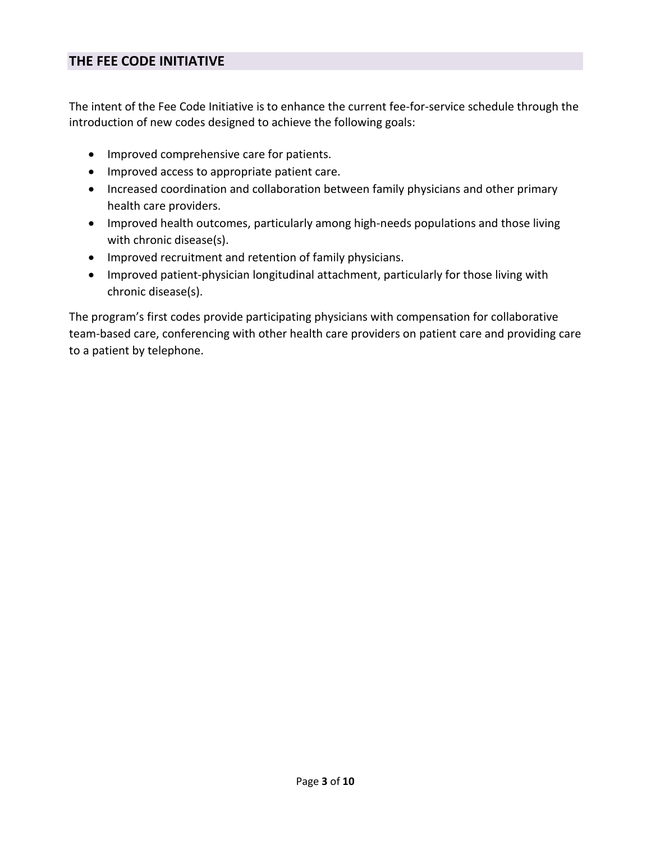## **THE FEE CODE INITIATIVE**

The intent of the Fee Code Initiative is to enhance the current fee-for-service schedule through the introduction of new codes designed to achieve the following goals:

- Improved comprehensive care for patients.
- Improved access to appropriate patient care.
- Increased coordination and collaboration between family physicians and other primary health care providers.
- Improved health outcomes, particularly among high-needs populations and those living with chronic disease(s).
- Improved recruitment and retention of family physicians.
- Improved patient-physician longitudinal attachment, particularly for those living with chronic disease(s).

The program's first codes provide participating physicians with compensation for collaborative team-based care, conferencing with other health care providers on patient care and providing care to a patient by telephone.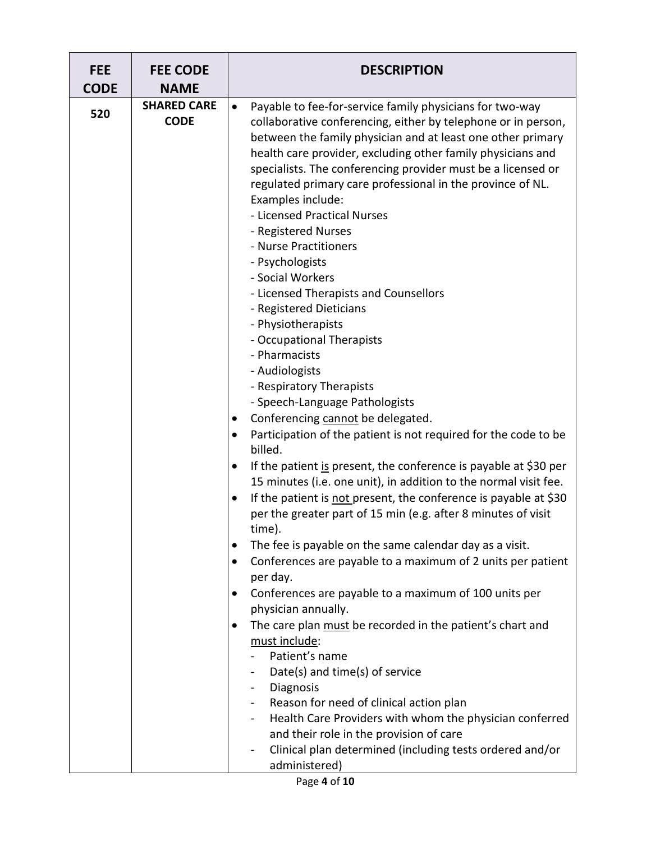| <b>FEE</b><br><b>CODE</b> | <b>FEE CODE</b><br><b>NAME</b>    | <b>DESCRIPTION</b>                                                                                                                                                                                                                                                                                                                                                                                                                                                                                                                                                                                                                                                                                                                                                                                                                                                                                                                                                                                                                                                                                                                                                                                                                                                                                                                                                                                                                                                                                                                                                                                                                                                                                                                                                                       |
|---------------------------|-----------------------------------|------------------------------------------------------------------------------------------------------------------------------------------------------------------------------------------------------------------------------------------------------------------------------------------------------------------------------------------------------------------------------------------------------------------------------------------------------------------------------------------------------------------------------------------------------------------------------------------------------------------------------------------------------------------------------------------------------------------------------------------------------------------------------------------------------------------------------------------------------------------------------------------------------------------------------------------------------------------------------------------------------------------------------------------------------------------------------------------------------------------------------------------------------------------------------------------------------------------------------------------------------------------------------------------------------------------------------------------------------------------------------------------------------------------------------------------------------------------------------------------------------------------------------------------------------------------------------------------------------------------------------------------------------------------------------------------------------------------------------------------------------------------------------------------|
| 520                       | <b>SHARED CARE</b><br><b>CODE</b> | Payable to fee-for-service family physicians for two-way<br>$\bullet$<br>collaborative conferencing, either by telephone or in person,<br>between the family physician and at least one other primary<br>health care provider, excluding other family physicians and<br>specialists. The conferencing provider must be a licensed or<br>regulated primary care professional in the province of NL.<br>Examples include:<br>- Licensed Practical Nurses<br>- Registered Nurses<br>- Nurse Practitioners<br>- Psychologists<br>- Social Workers<br>- Licensed Therapists and Counsellors<br>- Registered Dieticians<br>- Physiotherapists<br>- Occupational Therapists<br>- Pharmacists<br>- Audiologists<br>- Respiratory Therapists<br>- Speech-Language Pathologists<br>Conferencing cannot be delegated.<br>٠<br>Participation of the patient is not required for the code to be<br>billed.<br>If the patient is present, the conference is payable at \$30 per<br>15 minutes (i.e. one unit), in addition to the normal visit fee.<br>If the patient is not present, the conference is payable at \$30<br>per the greater part of 15 min (e.g. after 8 minutes of visit<br>time).<br>The fee is payable on the same calendar day as a visit.<br>Conferences are payable to a maximum of 2 units per patient<br>per day.<br>Conferences are payable to a maximum of 100 units per<br>physician annually.<br>The care plan must be recorded in the patient's chart and<br>must include:<br>Patient's name<br>Date(s) and time(s) of service<br>Diagnosis<br>Reason for need of clinical action plan<br>Health Care Providers with whom the physician conferred<br>and their role in the provision of care<br>Clinical plan determined (including tests ordered and/or<br>$\blacksquare$ |
|                           |                                   | administered)                                                                                                                                                                                                                                                                                                                                                                                                                                                                                                                                                                                                                                                                                                                                                                                                                                                                                                                                                                                                                                                                                                                                                                                                                                                                                                                                                                                                                                                                                                                                                                                                                                                                                                                                                                            |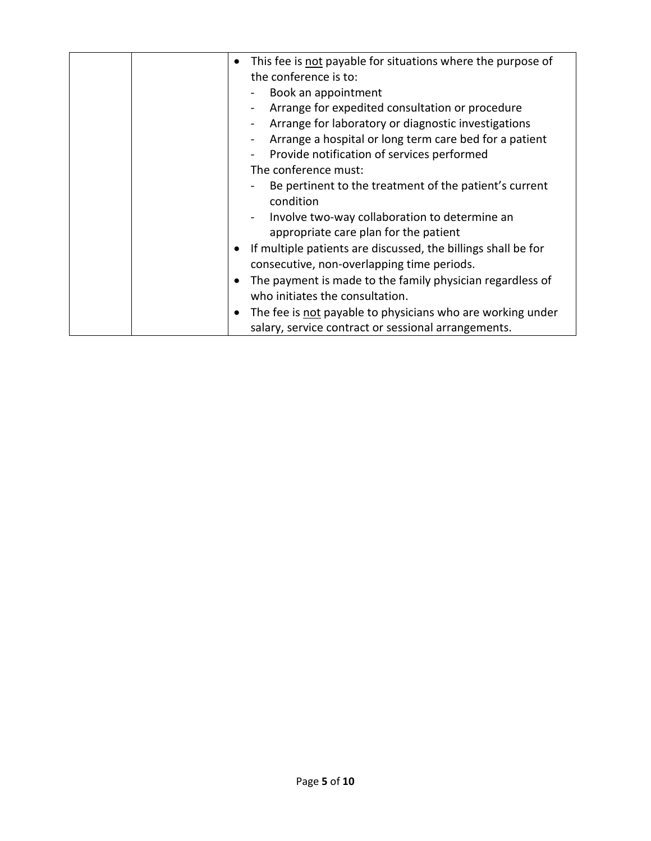| This fee is not payable for situations where the purpose of<br>the conference is to:                              |
|-------------------------------------------------------------------------------------------------------------------|
| Book an appointment                                                                                               |
| Arrange for expedited consultation or procedure                                                                   |
| Arrange for laboratory or diagnostic investigations                                                               |
| Arrange a hospital or long term care bed for a patient                                                            |
| Provide notification of services performed                                                                        |
| The conference must:                                                                                              |
| Be pertinent to the treatment of the patient's current<br>condition                                               |
| Involve two-way collaboration to determine an<br>appropriate care plan for the patient                            |
| If multiple patients are discussed, the billings shall be for<br>consecutive, non-overlapping time periods.       |
| The payment is made to the family physician regardless of<br>who initiates the consultation.                      |
| The fee is not payable to physicians who are working under<br>salary, service contract or sessional arrangements. |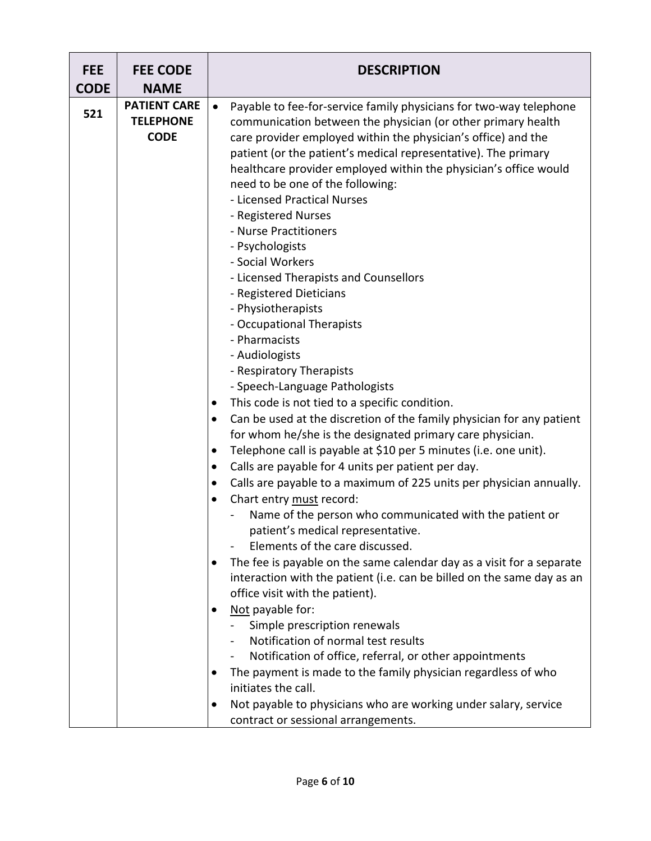| <b>FEE</b><br><b>CODE</b> | <b>FEE CODE</b><br><b>NAME</b>                         | <b>DESCRIPTION</b>                                                                                                                                                                                                                                                                                                                                                                                                                                                                                                                                                                                                                                                                                                                                                                                                                                                                                                                                                                                                                                                                                                                                                                                                                                                                                                                                                                                                                                                                                                                                                                                                                                                                                                                                                                                                   |
|---------------------------|--------------------------------------------------------|----------------------------------------------------------------------------------------------------------------------------------------------------------------------------------------------------------------------------------------------------------------------------------------------------------------------------------------------------------------------------------------------------------------------------------------------------------------------------------------------------------------------------------------------------------------------------------------------------------------------------------------------------------------------------------------------------------------------------------------------------------------------------------------------------------------------------------------------------------------------------------------------------------------------------------------------------------------------------------------------------------------------------------------------------------------------------------------------------------------------------------------------------------------------------------------------------------------------------------------------------------------------------------------------------------------------------------------------------------------------------------------------------------------------------------------------------------------------------------------------------------------------------------------------------------------------------------------------------------------------------------------------------------------------------------------------------------------------------------------------------------------------------------------------------------------------|
| 521                       | <b>PATIENT CARE</b><br><b>TELEPHONE</b><br><b>CODE</b> | Payable to fee-for-service family physicians for two-way telephone<br>$\bullet$<br>communication between the physician (or other primary health<br>care provider employed within the physician's office) and the<br>patient (or the patient's medical representative). The primary<br>healthcare provider employed within the physician's office would<br>need to be one of the following:<br>- Licensed Practical Nurses<br>- Registered Nurses<br>- Nurse Practitioners<br>- Psychologists<br>- Social Workers<br>- Licensed Therapists and Counsellors<br>- Registered Dieticians<br>- Physiotherapists<br>- Occupational Therapists<br>- Pharmacists<br>- Audiologists<br>- Respiratory Therapists<br>- Speech-Language Pathologists<br>This code is not tied to a specific condition.<br>$\bullet$<br>Can be used at the discretion of the family physician for any patient<br>$\bullet$<br>for whom he/she is the designated primary care physician.<br>Telephone call is payable at \$10 per 5 minutes (i.e. one unit).<br>$\bullet$<br>Calls are payable for 4 units per patient per day.<br>٠<br>Calls are payable to a maximum of 225 units per physician annually.<br>$\bullet$<br>Chart entry must record:<br>$\bullet$<br>Name of the person who communicated with the patient or<br>patient's medical representative.<br>Elements of the care discussed.<br>The fee is payable on the same calendar day as a visit for a separate<br>٠<br>interaction with the patient (i.e. can be billed on the same day as an<br>office visit with the patient).<br>Not payable for:<br>Simple prescription renewals<br>Notification of normal test results<br>Notification of office, referral, or other appointments<br>The payment is made to the family physician regardless of who<br>٠<br>initiates the call. |
|                           |                                                        | Not payable to physicians who are working under salary, service<br>٠<br>contract or sessional arrangements.                                                                                                                                                                                                                                                                                                                                                                                                                                                                                                                                                                                                                                                                                                                                                                                                                                                                                                                                                                                                                                                                                                                                                                                                                                                                                                                                                                                                                                                                                                                                                                                                                                                                                                          |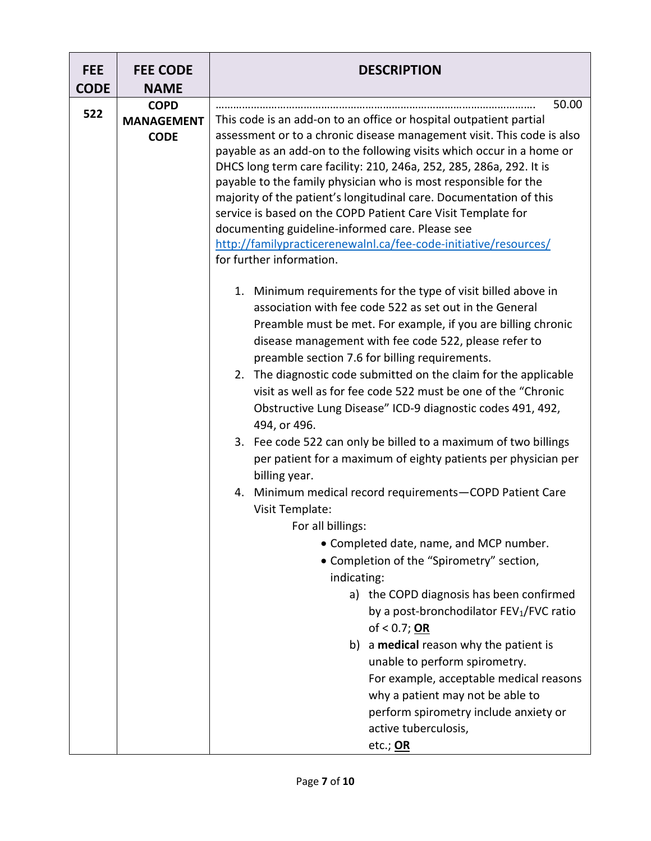| <b>FEE</b><br><b>CODE</b> | <b>FEE CODE</b><br><b>NAME</b>                  | <b>DESCRIPTION</b>                                                                                                                                                                                                                                                                                                                                                                                                                                                                                                                                                                                                                                                |  |  |  |  |  |  |
|---------------------------|-------------------------------------------------|-------------------------------------------------------------------------------------------------------------------------------------------------------------------------------------------------------------------------------------------------------------------------------------------------------------------------------------------------------------------------------------------------------------------------------------------------------------------------------------------------------------------------------------------------------------------------------------------------------------------------------------------------------------------|--|--|--|--|--|--|
| 522                       | <b>COPD</b><br><b>MANAGEMENT</b><br><b>CODE</b> | 50.00<br>This code is an add-on to an office or hospital outpatient partial<br>assessment or to a chronic disease management visit. This code is also<br>payable as an add-on to the following visits which occur in a home or<br>DHCS long term care facility: 210, 246a, 252, 285, 286a, 292. It is<br>payable to the family physician who is most responsible for the<br>majority of the patient's longitudinal care. Documentation of this<br>service is based on the COPD Patient Care Visit Template for<br>documenting guideline-informed care. Please see<br>http://familypracticerenewalnl.ca/fee-code-initiative/resources/<br>for further information. |  |  |  |  |  |  |
|                           |                                                 | Minimum requirements for the type of visit billed above in<br>1.<br>association with fee code 522 as set out in the General<br>Preamble must be met. For example, if you are billing chronic<br>disease management with fee code 522, please refer to<br>preamble section 7.6 for billing requirements.<br>2. The diagnostic code submitted on the claim for the applicable<br>visit as well as for fee code 522 must be one of the "Chronic<br>Obstructive Lung Disease" ICD-9 diagnostic codes 491, 492,<br>494, or 496.<br>3. Fee code 522 can only be billed to a maximum of two billings                                                                     |  |  |  |  |  |  |
|                           |                                                 | per patient for a maximum of eighty patients per physician per<br>billing year.<br>Minimum medical record requirements-COPD Patient Care<br>4.<br>Visit Template:<br>For all billings:                                                                                                                                                                                                                                                                                                                                                                                                                                                                            |  |  |  |  |  |  |
|                           |                                                 | • Completed date, name, and MCP number.<br>• Completion of the "Spirometry" section,<br>indicating:<br>a) the COPD diagnosis has been confirmed<br>by a post-bronchodilator FEV <sub>1</sub> /FVC ratio<br>of $< 0.7$ ; OR                                                                                                                                                                                                                                                                                                                                                                                                                                        |  |  |  |  |  |  |
|                           |                                                 | b) a medical reason why the patient is<br>unable to perform spirometry.<br>For example, acceptable medical reasons<br>why a patient may not be able to<br>perform spirometry include anxiety or<br>active tuberculosis,<br>etc.; OR                                                                                                                                                                                                                                                                                                                                                                                                                               |  |  |  |  |  |  |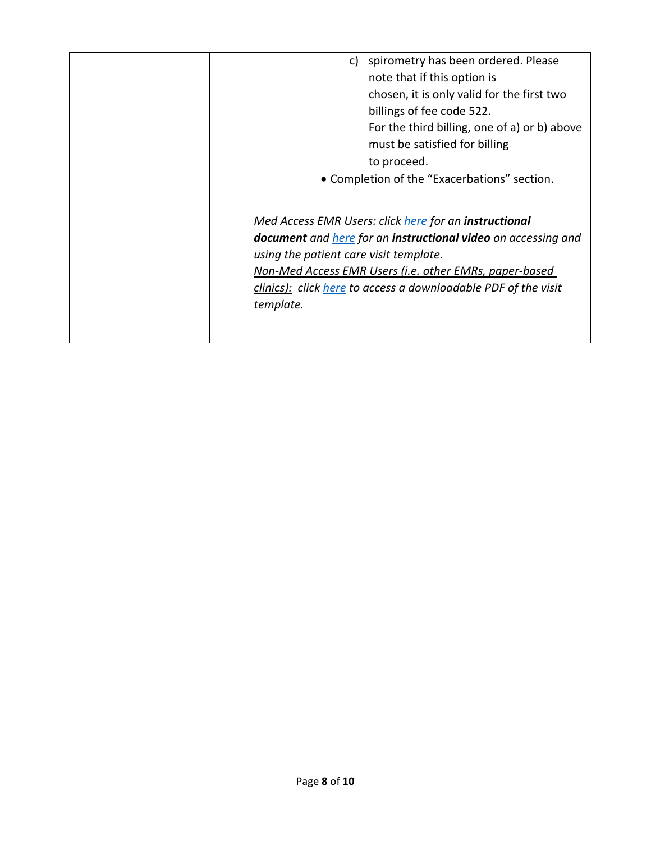| spirometry has been ordered. Please<br>C)<br>note that if this option is<br>chosen, it is only valid for the first two<br>billings of fee code 522.<br>For the third billing, one of a) or b) above<br>must be satisfied for billing<br>to proceed.<br>• Completion of the "Exacerbations" section.       |
|-----------------------------------------------------------------------------------------------------------------------------------------------------------------------------------------------------------------------------------------------------------------------------------------------------------|
| Med Access EMR Users: click here for an instructional<br>document and here for an instructional video on accessing and<br>using the patient care visit template.<br>Non-Med Access EMR Users (i.e. other EMRs, paper-based<br>clinics): click here to access a downloadable PDF of the visit<br>template. |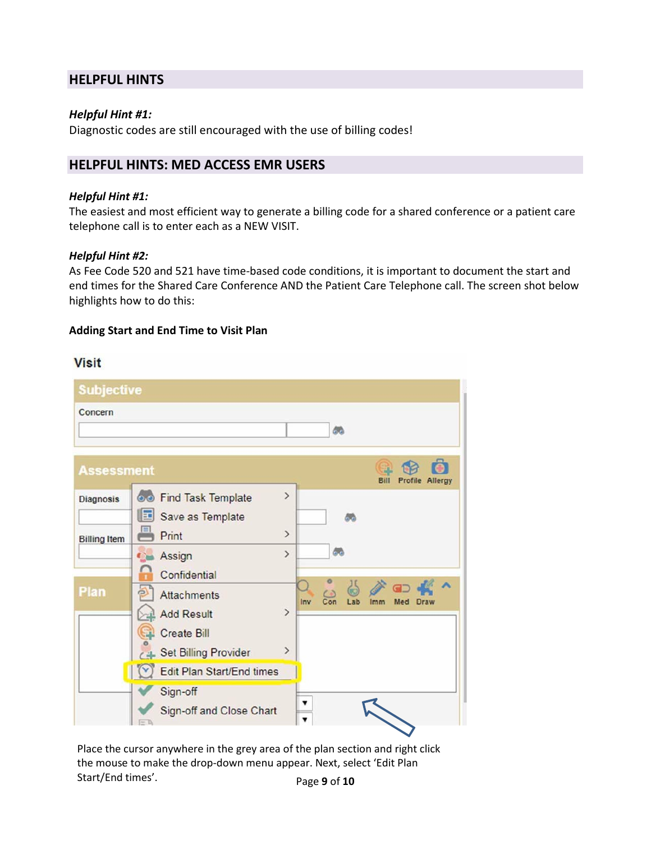## **HELPFUL HINTS**

#### *Helpful Hint #1:*

Diagnostic codes are still encouraged with the use of billing codes!

## **HELPFUL HINTS: MED ACCESS EMR USERS**

#### *Helpful Hint #1:*

The easiest and most efficient way to generate a billing code for a shared conference or a patient care telephone call is to enter each as a NEW VISIT.

#### *Helpful Hint #2:*

As Fee Code 520 and 521 have time-based code conditions, it is important to document the start and end times for the Shared Care Conference AND the Patient Care Telephone call. The screen shot below highlights how to do this:

#### **Adding Start and End Time to Visit Plan**

### **Visit**

| <b>Subjective</b>                       |                                                                                                  |                                              |
|-----------------------------------------|--------------------------------------------------------------------------------------------------|----------------------------------------------|
| Concern                                 |                                                                                                  | 66                                           |
| <b>Assessment</b>                       |                                                                                                  | Bill<br>Profile<br>Allergy                   |
| <b>Diagnosis</b><br><b>Billing Item</b> | <b>60 Find Task Template</b><br>固<br>Save as Template<br>Print                                   | $\mathcal{P}$<br>æ<br>$\rightarrow$          |
|                                         | Assign<br>$\bullet$<br>Confidential                                                              | 品<br>$\mathcal{P}$                           |
| <b>Plan</b>                             | Attachments<br><b>Add Result</b><br><b>Create Bill</b>                                           | Con<br>Lab<br>Inv<br>Imm<br>Med Draw<br>$\,$ |
|                                         | <b>Set Billing Provider</b><br>Edit Plan Start/End times<br>Sign-off<br>Sign-off and Close Chart | $\,$<br>۷                                    |

Page **9** of **10** Place the cursor anywhere in the grey area of the plan section and right click the mouse to make the drop-down menu appear. Next, select 'Edit Plan Start/End times'.